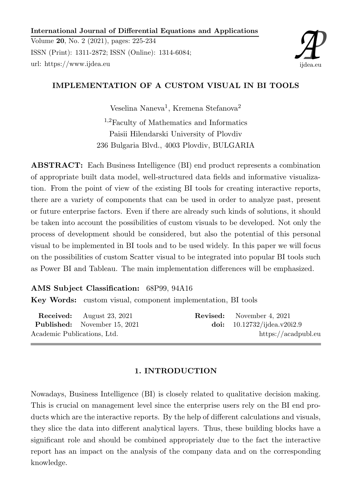## International Journal of Differential Equations and Applications

Volume 20, No. 2 (2021), pages: 225-234 ISSN (Print): 1311-2872; ISSN (Online): 1314-6084; url: https://www.ijdea.eu



# IMPLEMENTATION OF A CUSTOM VISUAL IN BI TOOLS

Veselina Naneva<sup>1</sup>, Kremena Stefanova<sup>2</sup>

<sup>1</sup>,2Faculty of Mathematics and Informatics Paisii Hilendarski University of Plovdiv 236 Bulgaria Blvd., 4003 Plovdiv, BULGARIA

ABSTRACT: Each Business Intelligence (BI) end product represents a combination of appropriate built data model, well-structured data fields and informative visualization. From the point of view of the existing BI tools for creating interactive reports, there are a variety of components that can be used in order to analyze past, present or future enterprise factors. Even if there are already such kinds of solutions, it should be taken into account the possibilities of custom visuals to be developed. Not only the process of development should be considered, but also the potential of this personal visual to be implemented in BI tools and to be used widely. In this paper we will focus on the possibilities of custom Scatter visual to be integrated into popular BI tools such as Power BI and Tableau. The main implementation differences will be emphasized.

AMS Subject Classification: 68P99, 94A16 Key Words: custom visual, component implementation, BI tools

|                             | <b>Received:</b> August 23, 2021    | <b>Revised:</b> November 4, 2021 |
|-----------------------------|-------------------------------------|----------------------------------|
|                             | <b>Published:</b> November 15, 2021 | doi: $10.12732/jidea.v20i2.9$    |
| Academic Publications, Ltd. |                                     | https://acadpubl.eu              |

## 1. INTRODUCTION

Nowadays, Business Intelligence (BI) is closely related to qualitative decision making. This is crucial on management level since the enterprise users rely on the BI end products which are the interactive reports. By the help of different calculations and visuals, they slice the data into different analytical layers. Thus, these building blocks have a significant role and should be combined appropriately due to the fact the interactive report has an impact on the analysis of the company data and on the corresponding knowledge.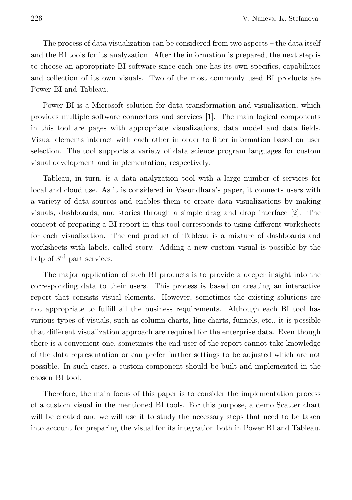The process of data visualization can be considered from two aspects – the data itself and the BI tools for its analyzation. After the information is prepared, the next step is to choose an appropriate BI software since each one has its own specifics, capabilities and collection of its own visuals. Two of the most commonly used BI products are Power BI and Tableau.

Power BI is a Microsoft solution for data transformation and visualization, which provides multiple software connectors and services [1]. The main logical components in this tool are pages with appropriate visualizations, data model and data fields. Visual elements interact with each other in order to filter information based on user selection. The tool supports a variety of data science program languages for custom visual development and implementation, respectively.

Tableau, in turn, is a data analyzation tool with a large number of services for local and cloud use. As it is considered in Vasundhara's paper, it connects users with a variety of data sources and enables them to create data visualizations by making visuals, dashboards, and stories through a simple drag and drop interface [2]. The concept of preparing a BI report in this tool corresponds to using different worksheets for each visualization. The end product of Tableau is a mixture of dashboards and worksheets with labels, called story. Adding a new custom visual is possible by the help of 3<sup>rd</sup> part services.

The major application of such BI products is to provide a deeper insight into the corresponding data to their users. This process is based on creating an interactive report that consists visual elements. However, sometimes the existing solutions are not appropriate to fulfill all the business requirements. Although each BI tool has various types of visuals, such as column charts, line charts, funnels, etc., it is possible that different visualization approach are required for the enterprise data. Even though there is a convenient one, sometimes the end user of the report cannot take knowledge of the data representation or can prefer further settings to be adjusted which are not possible. In such cases, a custom component should be built and implemented in the chosen BI tool.

Therefore, the main focus of this paper is to consider the implementation process of a custom visual in the mentioned BI tools. For this purpose, a demo Scatter chart will be created and we will use it to study the necessary steps that need to be taken into account for preparing the visual for its integration both in Power BI and Tableau.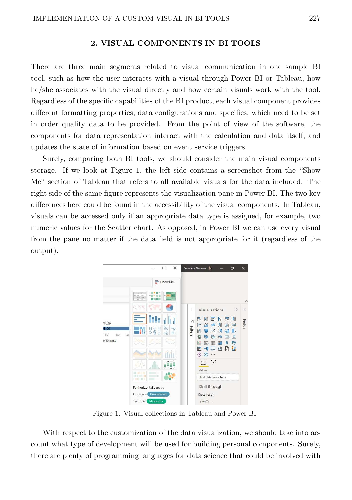### 2. VISUAL COMPONENTS IN BI TOOLS

There are three main segments related to visual communication in one sample BI tool, such as how the user interacts with a visual through Power BI or Tableau, how he/she associates with the visual directly and how certain visuals work with the tool. Regardless of the specific capabilities of the BI product, each visual component provides different formatting properties, data configurations and specifics, which need to be set in order quality data to be provided. From the point of view of the software, the components for data representation interact with the calculation and data itself, and updates the state of information based on event service triggers.

Surely, comparing both BI tools, we should consider the main visual components storage. If we look at Figure 1, the left side contains a screenshot from the "Show Me" section of Tableau that refers to all available visuals for the data included. The right side of the same figure represents the visualization pane in Power BI. The two key differences here could be found in the accessibility of the visual components. In Tableau, visuals can be accessed only if an appropriate data type is assigned, for example, two numeric values for the Scatter chart. As opposed, in Power BI we can use every visual from the pane no matter if the data field is not appropriate for it (regardless of the output).



Figure 1. Visual collections in Tableau and Power BI

With respect to the customization of the data visualization, we should take into account what type of development will be used for building personal components. Surely, there are plenty of programming languages for data science that could be involved with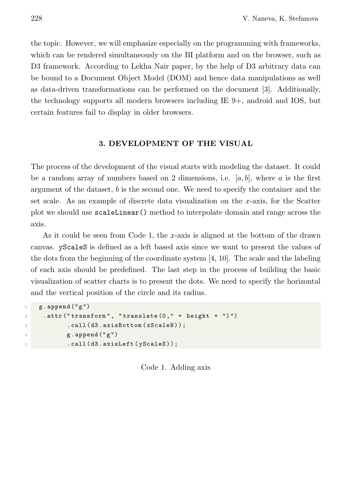the topic. However, we will emphasize especially on the programming with frameworks, which can be rendered simultaneously on the BI platform and on the browser, such as D3 framework. According to Lekha Nair paper, by the help of D3 arbitrary data can be bound to a Document Object Model (DOM) and hence data manipulations as well as data-driven transformations can be performed on the document [3]. Additionally, the technology supports all modern browsers including IE 9+, android and IOS, but certain features fail to display in older browsers.

### 3. DEVELOPMENT OF THE VISUAL

The process of the development of the visual starts with modeling the dataset. It could be a random array of numbers based on 2 dimensions, i.e. [a, b], where a is the first argument of the dataset, b is the second one. We need to specify the container and the set scale. As an example of discrete data visualization on the x-axis, for the Scatter plot we should use scaleLinear() method to interpolate domain and range across the axis.

As it could be seen from Code 1, the x-axis is aligned at the bottom of the drawn canvas. yScaleS is defined as a left based axis since we want to present the values of the dots from the beginning of the coordinate system [4, 10]. The scale and the labeling of each axis should be predefined. The last step in the process of building the basic visualization of scatter charts is to present the dots. We need to specify the horizontal and the vertical position of the circle and its radius.

```
1 g. append ("g")
2 . attr ("transform", "translate (0, " + height + "")")
3 . call (d3. axisBottom (xScaleN));
4 g. append ("g")
5 . call (d3. axisLeft (yScaleS));
```
Code 1. Adding axis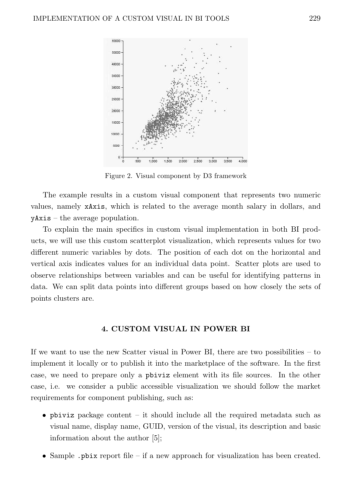

Figure 2. Visual component by D3 framework

The example results in a custom visual component that represents two numeric values, namely xAxis, which is related to the average month salary in dollars, and yAxis – the average population.

To explain the main specifics in custom visual implementation in both BI products, we will use this custom scatterplot visualization, which represents values for two different numeric variables by dots. The position of each dot on the horizontal and vertical axis indicates values for an individual data point. Scatter plots are used to observe relationships between variables and can be useful for identifying patterns in data. We can split data points into different groups based on how closely the sets of points clusters are.

#### 4. CUSTOM VISUAL IN POWER BI

If we want to use the new Scatter visual in Power BI, there are two possibilities – to implement it locally or to publish it into the marketplace of the software. In the first case, we need to prepare only a pbiviz element with its file sources. In the other case, i.e. we consider a public accessible visualization we should follow the market requirements for component publishing, such as:

- pbiviz package content it should include all the required metadata such as visual name, display name, GUID, version of the visual, its description and basic information about the author [5];
- Sample .pbix report file if a new approach for visualization has been created.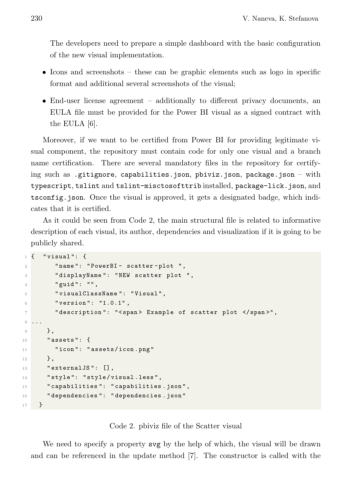The developers need to prepare a simple dashboard with the basic configuration of the new visual implementation.

- Icons and screenshots these can be graphic elements such as logo in specific format and additional several screenshots of the visual;
- End-user license agreement additionally to different privacy documents, an EULA file must be provided for the Power BI visual as a signed contract with the EULA [6].

Moreover, if we want to be certified from Power BI for providing legitimate visual component, the repository must contain code for only one visual and a branch name certification. There are several mandatory files in the repository for certifying such as .gitignore, capabilities.json, pbiviz.json, package.json – with typescript, tslint and tslint-misctosofttrib installed, package-lick.json, and tsconfig.json. Once the visual is approved, it gets a designated badge, which indicates that it is certified.

As it could be seen from Code 2, the main structural file is related to informative description of each visual, its author, dependencies and visualization if it is going to be publicly shared.

```
1 \left\{ "visual": {
2 " name ": " PowerBI - scatter - plot ",
3 " displayName ": " NEW scatter plot ",
        " guid": "",
5 " visualClassName ": " Visual ",
6 "version": "1.0.1",
7 "description": "<span> Example of scatter plot </span>",
8 ...
9 },
10 " assets ": {
11 "icon": "assets/icon.png"
12 },
13 " externalJS": [],
14 "style": "style/visual.less",
15 " capabilities ": " capabilities . json ",
16 " dependencies ": " dependencies . json "
17 }
```


We need to specify a property svg by the help of which, the visual will be drawn and can be referenced in the update method [7]. The constructor is called with the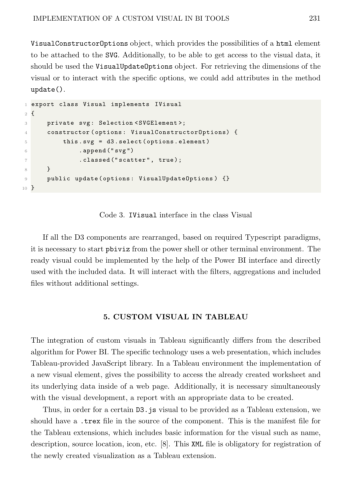VisualConstructorOptions object, which provides the possibilities of a html element to be attached to the SVG. Additionally, to be able to get access to the visual data, it should be used the VisualUpdateOptions object. For retrieving the dimensions of the visual or to interact with the specific options, we could add attributes in the method update().

```
1 export class Visual implements IVisual
2 {
3 private svg: Selection < SVGElement>;
4 constructor ( options : VisualConstructorOptions) {
5 this . svg = d3 . select ( options . element )
6 . append ("svg")
              . classed ("scatter", true);
8 }
9 public update ( options : VisualUpdateOptions ) {}
10 }
```
Code 3. IVisual interface in the class Visual

If all the D3 components are rearranged, based on required Typescript paradigms, it is necessary to start pbiviz from the power shell or other terminal environment. The ready visual could be implemented by the help of the Power BI interface and directly used with the included data. It will interact with the filters, aggregations and included files without additional settings.

### 5. CUSTOM VISUAL IN TABLEAU

The integration of custom visuals in Tableau significantly differs from the described algorithm for Power BI. The specific technology uses a web presentation, which includes Tableau-provided JavaScript library. In a Tableau environment the implementation of a new visual element, gives the possibility to access the already created worksheet and its underlying data inside of a web page. Additionally, it is necessary simultaneously with the visual development, a report with an appropriate data to be created.

Thus, in order for a certain D3.js visual to be provided as a Tableau extension, we should have a .trex file in the source of the component. This is the manifest file for the Tableau extensions, which includes basic information for the visual such as name, description, source location, icon, etc. [8]. This XML file is obligatory for registration of the newly created visualization as a Tableau extension.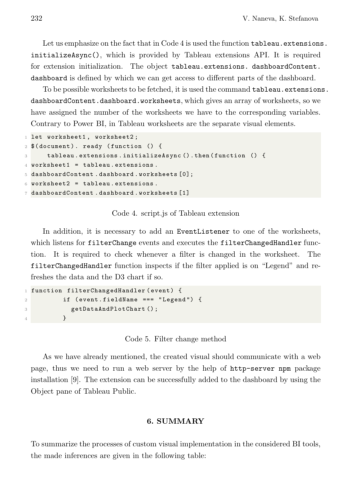Let us emphasize on the fact that in Code 4 is used the function tableau.extensions. initializeAsync(), which is provided by Tableau extensions API. It is required for extension initialization. The object tableau.extensions. dashboardContent. dashboard is defined by which we can get access to different parts of the dashboard.

To be possible worksheets to be fetched, it is used the command tableau.extensions. dashboardContent.dashboard.worksheets, which gives an array of worksheets, so we have assigned the number of the worksheets we have to the corresponding variables. Contrary to Power BI, in Tableau worksheets are the separate visual elements.

```
1 let worksheet1, worksheet2;
2 $( document ) . ready ( function () {
3 tableau . extensions . initializeAsync () . then (function () {
4 worksheet1 = tableau. extensions.
5 dashboardContent . dashboard . worksheets [0];
6 worksheet2 = tableau. extensions.
7 dashboardContent . dashboard . worksheets [1]
```
Code 4. script.js of Tableau extension

In addition, it is necessary to add an EventListener to one of the worksheets, which listens for filterChange events and executes the filterChangedHandler function. It is required to check whenever a filter is changed in the worksheet. The filterChangedHandler function inspects if the filter applied is on "Legend" and refreshes the data and the D3 chart if so.

```
1 function filterChangedHandler (event) {
2 if ( event . fieldName === " Legend ") {
3 getDataAndPlotChart () ;
4 }
```
Code 5. Filter change method

As we have already mentioned, the created visual should communicate with a web page, thus we need to run a web server by the help of http-server npm package installation [9]. The extension can be successfully added to the dashboard by using the Object pane of Tableau Public.

# 6. SUMMARY

To summarize the processes of custom visual implementation in the considered BI tools, the made inferences are given in the following table: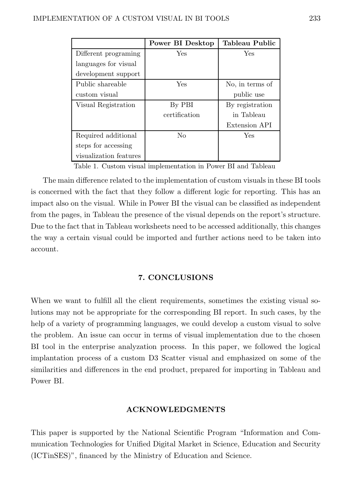|                        | Power BI Desktop | <b>Tableau Public</b> |
|------------------------|------------------|-----------------------|
| Different programing   | Yes              | Yes                   |
| languages for visual   |                  |                       |
| development support    |                  |                       |
| Public shareable       | Yes              | No, in terms of       |
| custom visual          |                  | public use            |
| Visual Registration    | By PBI           | By registration       |
|                        | certification    | in Tableau            |
|                        |                  | Extension API         |
| Required additional    | No               | Yes                   |
| steps for accessing    |                  |                       |
| visualization features |                  |                       |

Table 1. Custom visual implementation in Power BI and Tableau

The main difference related to the implementation of custom visuals in these BI tools is concerned with the fact that they follow a different logic for reporting. This has an impact also on the visual. While in Power BI the visual can be classified as independent from the pages, in Tableau the presence of the visual depends on the report's structure. Due to the fact that in Tableau worksheets need to be accessed additionally, this changes the way a certain visual could be imported and further actions need to be taken into account.

### 7. CONCLUSIONS

When we want to fulfill all the client requirements, sometimes the existing visual solutions may not be appropriate for the corresponding BI report. In such cases, by the help of a variety of programming languages, we could develop a custom visual to solve the problem. An issue can occur in terms of visual implementation due to the chosen BI tool in the enterprise analyzation process. In this paper, we followed the logical implantation process of a custom D3 Scatter visual and emphasized on some of the similarities and differences in the end product, prepared for importing in Tableau and Power BI.

#### ACKNOWLEDGMENTS

This paper is supported by the National Scientific Program "Information and Communication Technologies for Unified Digital Market in Science, Education and Security (ICTinSES)", financed by the Ministry of Education and Science.